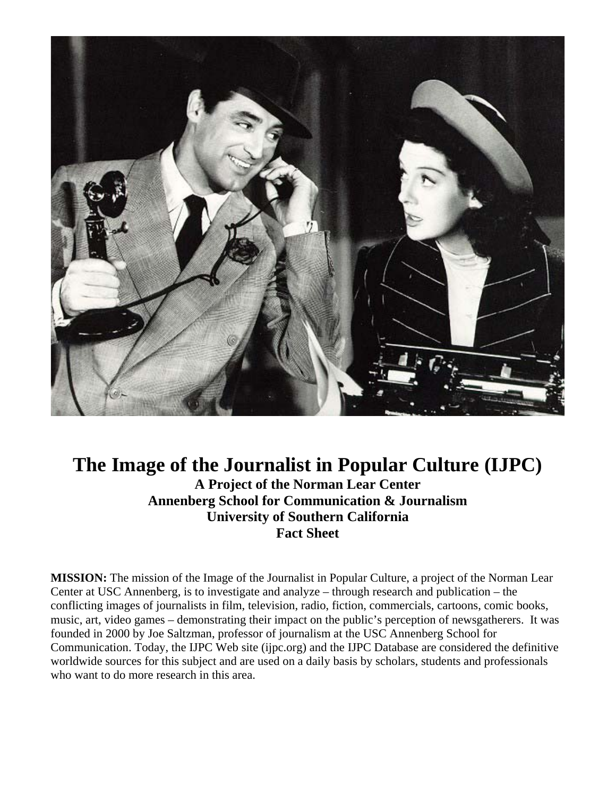

## **The Image of the Journalist in Popular Culture (IJPC) A Project of the Norman Lear Center Annenberg School for Communication & Journalism University of Southern California Fact Sheet**

**MISSION:** The mission of the Image of the Journalist in Popular Culture, a project of the Norman Lear Center at USC Annenberg, is to investigate and analyze – through research and publication – the conflicting images of journalists in film, television, radio, fiction, commercials, cartoons, comic books, music, art, video games – demonstrating their impact on the public's perception of newsgatherers. It was founded in 2000 by Joe Saltzman, professor of journalism at the USC Annenberg School for Communication. Today, the IJPC Web site (ijpc.org) and the IJPC Database are considered the definitive worldwide sources for this subject and are used on a daily basis by scholars, students and professionals who want to do more research in this area.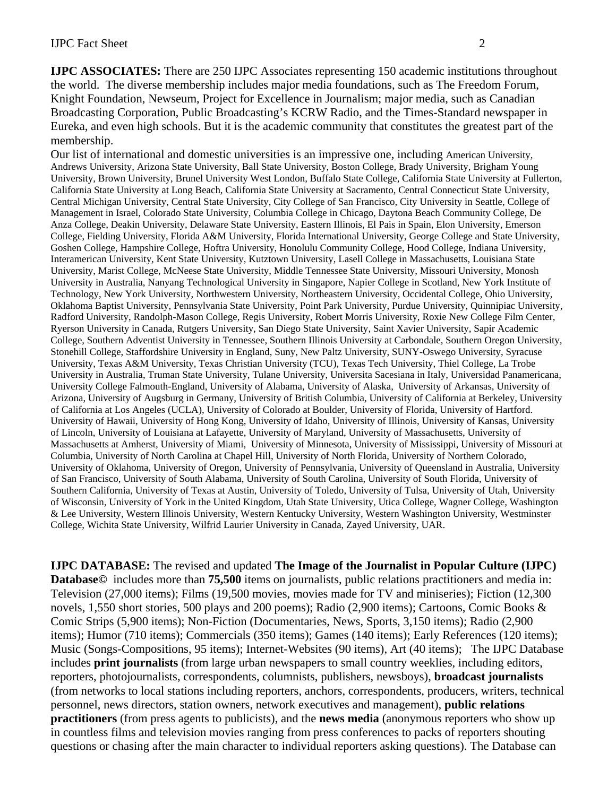**IJPC ASSOCIATES:** There are 250 IJPC Associates representing 150 academic institutions throughout the world. The diverse membership includes major media foundations, such as The Freedom Forum, Knight Foundation, Newseum, Project for Excellence in Journalism; major media, such as Canadian Broadcasting Corporation, Public Broadcasting's KCRW Radio, and the Times-Standard newspaper in Eureka, and even high schools. But it is the academic community that constitutes the greatest part of the membership.

Our list of international and domestic universities is an impressive one, including American University, Andrews University, Arizona State University, Ball State University, Boston College, Brady University, Brigham Young University, Brown University, Brunel University West London, Buffalo State College, California State University at Fullerton, California State University at Long Beach, California State University at Sacramento, Central Connecticut State University, Central Michigan University, Central State University, City College of San Francisco, City University in Seattle, College of Management in Israel, Colorado State University, Columbia College in Chicago, Daytona Beach Community College, De Anza College, Deakin University, Delaware State University, Eastern Illinois, El Pais in Spain, Elon University, Emerson College, Fielding University, Florida A&M University, Florida International University, George College and State University, Goshen College, Hampshire College, Hoftra University, Honolulu Community College, Hood College, Indiana University, Interamerican University, Kent State University, Kutztown University, Lasell College in Massachusetts, Louisiana State University, Marist College, McNeese State University, Middle Tennessee State University, Missouri University, Monosh University in Australia, Nanyang Technological University in Singapore, Napier College in Scotland, New York Institute of Technology, New York University, Northwestern University, Northeastern University, Occidental College, Ohio University, Oklahoma Baptist University, Pennsylvania State University, Point Park University, Purdue University, Quinnipiac University, Radford University, Randolph-Mason College, Regis University, Robert Morris University, Roxie New College Film Center, Ryerson University in Canada*,* Rutgers University, San Diego State University, Saint Xavier University, Sapir Academic College, Southern Adventist University in Tennessee, Southern Illinois University at Carbondale, Southern Oregon University, Stonehill College, Staffordshire University in England, Suny, New Paltz University, SUNY-Oswego University, Syracuse University, Texas A&M University, Texas Christian University (TCU), Texas Tech University, Thiel College, La Trobe University in Australia, Truman State University, Tulane University, Universita Sacesiana in Italy, Universidad Panamericana, University College Falmouth-England, University of Alabama, University of Alaska, University of Arkansas, University of Arizona, University of Augsburg in Germany, University of British Columbia, University of California at Berkeley, University of California at Los Angeles (UCLA), University of Colorado at Boulder, University of Florida, University of Hartford. University of Hawaii, University of Hong Kong, University of Idaho, University of Illinois, University of Kansas, University of Lincoln, University of Louisiana at Lafayette, University of Maryland, University of Massachusetts, University of Massachusetts at Amherst, University of Miami, University of Minnesota, University of Mississippi, University of Missouri at Columbia, University of North Carolina at Chapel Hill, University of North Florida, University of Northern Colorado, University of Oklahoma*,* University of Oregon, University of Pennsylvania, University of Queensland in Australia, University of San Francisco, University of South Alabama, University of South Carolina, University of South Florida, University of Southern California, University of Texas at Austin, University of Toledo, University of Tulsa, University of Utah, University of Wisconsin, University of York in the United Kingdom, Utah State University, Utica College, Wagner College, Washington & Lee University, Western Illinois University, Western Kentucky University, Western Washington University, Westminster College, Wichita State University, Wilfrid Laurier University in Canada, Zayed University, UAR.

**IJPC DATABASE:** The revised and updated **The Image of the Journalist in Popular Culture (IJPC) Database©** includes more than **75,500** items on journalists, public relations practitioners and media in: Television (27,000 items); Films (19,500 movies, movies made for TV and miniseries); Fiction (12,300 novels, 1,550 short stories, 500 plays and 200 poems); Radio (2,900 items); Cartoons, Comic Books & Comic Strips (5,900 items); Non-Fiction (Documentaries, News, Sports, 3,150 items); Radio (2,900 items); Humor (710 items); Commercials (350 items); Games (140 items); Early References (120 items); Music (Songs-Compositions, 95 items); Internet-Websites (90 items), Art (40 items); The IJPC Database includes **print journalists** (from large urban newspapers to small country weeklies, including editors, reporters, photojournalists, correspondents, columnists, publishers, newsboys), **broadcast journalists** (from networks to local stations including reporters, anchors, correspondents, producers, writers, technical personnel, news directors, station owners, network executives and management), **public relations practitioners** (from press agents to publicists), and the **news media** (anonymous reporters who show up in countless films and television movies ranging from press conferences to packs of reporters shouting questions or chasing after the main character to individual reporters asking questions). The Database can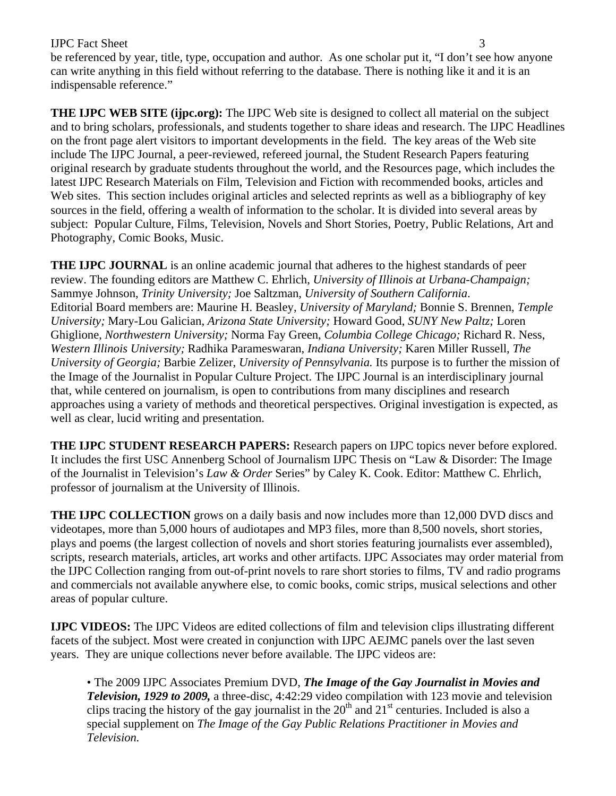## **IJPC** Fact Sheet 3

be referenced by year, title, type, occupation and author. As one scholar put it, "I don't see how anyone can write anything in this field without referring to the database. There is nothing like it and it is an indispensable reference."

**THE IJPC WEB SITE (ijpc.org):** The IJPC Web site is designed to collect all material on the subject and to bring scholars, professionals, and students together to share ideas and research. The IJPC Headlines on the front page alert visitors to important developments in the field. The key areas of the Web site include The IJPC Journal, a peer-reviewed, refereed journal, the Student Research Papers featuring original research by graduate students throughout the world, and the Resources page, which includes the latest IJPC Research Materials on Film, Television and Fiction with recommended books, articles and Web sites. This section includes original articles and selected reprints as well as a bibliography of key sources in the field, offering a wealth of information to the scholar. It is divided into several areas by subject: Popular Culture, Films, Television, Novels and Short Stories, Poetry, Public Relations, Art and Photography, Comic Books, Music.

**THE IJPC JOURNAL** is an online academic journal that adheres to the highest standards of peer review. The founding editors are Matthew C. Ehrlich, *University of Illinois at Urbana-Champaign;*  Sammye Johnson, *Trinity University;* Joe Saltzman, *University of Southern California*. Editorial Board members are: Maurine H. Beasley, *University of Maryland;* Bonnie S. Brennen, *Temple University;* Mary-Lou Galician, *Arizona State University;* Howard Good, *SUNY New Paltz;* Loren Ghiglione, *Northwestern University;* Norma Fay Green, *Columbia College Chicago;* Richard R. Ness, *Western Illinois University;* Radhika Parameswaran, *Indiana University;* Karen Miller Russell, *The University of Georgia;* Barbie Zelizer, *University of Pennsylvania.* Its purpose is to further the mission of the Image of the Journalist in Popular Culture Project. The IJPC Journal is an interdisciplinary journal that, while centered on journalism, is open to contributions from many disciplines and research approaches using a variety of methods and theoretical perspectives. Original investigation is expected, as well as clear, lucid writing and presentation.

**THE IJPC STUDENT RESEARCH PAPERS:** Research papers on IJPC topics never before explored. It includes the first USC Annenberg School of Journalism IJPC Thesis on "Law & Disorder: The Image of the Journalist in Television's *Law & Order* Series" by Caley K. Cook. Editor: Matthew C. Ehrlich, professor of journalism at the University of Illinois.

**THE IJPC COLLECTION** grows on a daily basis and now includes more than 12,000 DVD discs and videotapes, more than 5,000 hours of audiotapes and MP3 files, more than 8,500 novels, short stories, plays and poems (the largest collection of novels and short stories featuring journalists ever assembled), scripts, research materials, articles, art works and other artifacts. IJPC Associates may order material from the IJPC Collection ranging from out-of-print novels to rare short stories to films, TV and radio programs and commercials not available anywhere else, to comic books, comic strips, musical selections and other areas of popular culture.

**IJPC VIDEOS:** The IJPC Videos are edited collections of film and television clips illustrating different facets of the subject. Most were created in conjunction with IJPC AEJMC panels over the last seven years. They are unique collections never before available. The IJPC videos are:

• The 2009 IJPC Associates Premium DVD, *The Image of the Gay Journalist in Movies and Television, 1929 to 2009,* a three-disc, 4:42:29 video compilation with 123 movie and television clips tracing the history of the gay journalist in the  $20<sup>th</sup>$  and  $21<sup>st</sup>$  centuries. Included is also a special supplement on *The Image of the Gay Public Relations Practitioner in Movies and Television.*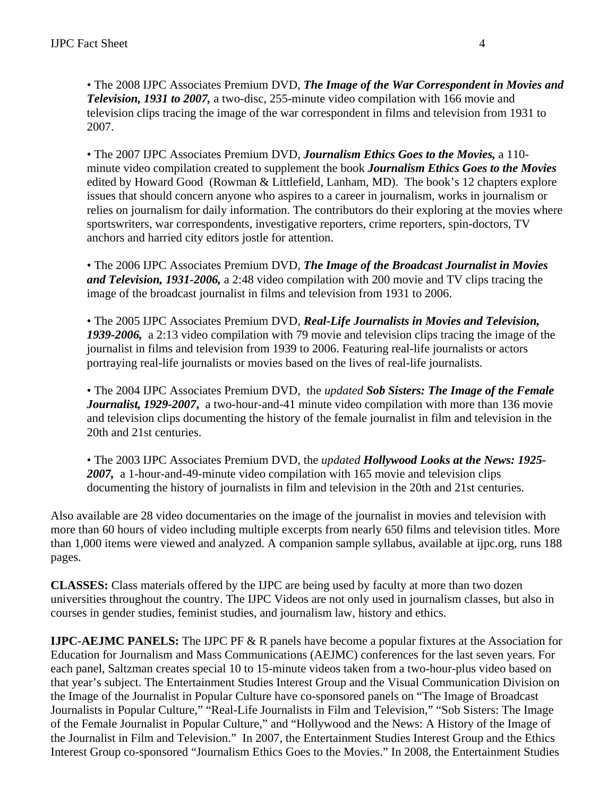• The 2008 IJPC Associates Premium DVD, *The Image of the War Correspondent in Movies and Television, 1931 to 2007,* a two-disc, 255-minute video compilation with 166 movie and television clips tracing the image of the war correspondent in films and television from 1931 to 2007.

• The 2007 IJPC Associates Premium DVD, *Journalism Ethics Goes to the Movies,* a 110 minute video compilation created to supplement the book *Journalism Ethics Goes to the Movies*  edited by Howard Good (Rowman & Littlefield, Lanham, MD). The book's 12 chapters explore issues that should concern anyone who aspires to a career in journalism, works in journalism or relies on journalism for daily information. The contributors do their exploring at the movies where sportswriters, war correspondents, investigative reporters, crime reporters, spin-doctors, TV anchors and harried city editors jostle for attention.

• The 2006 IJPC Associates Premium DVD, *The Image of the Broadcast Journalist in Movies and Television, 1931-2006,* a 2:48 video compilation with 200 movie and TV clips tracing the image of the broadcast journalist in films and television from 1931 to 2006.

• The 2005 IJPC Associates Premium DVD, *Real-Life Journalists in Movies and Television, 1939-2006,* a 2:13 video compilation with 79 movie and television clips tracing the image of the journalist in films and television from 1939 to 2006. Featuring real-life journalists or actors portraying real-life journalists or movies based on the lives of real-life journalists.

• The 2004 IJPC Associates Premium DVD, the *updated Sob Sisters: The Image of the Female Journalist, 1929-2007***,** a two-hour-and-41 minute video compilation with more than 136 movie and television clips documenting the history of the female journalist in film and television in the 20th and 21st centuries.

• The 2003 IJPC Associates Premium DVD, the *updated Hollywood Looks at the News: 1925- 2007,* a 1-hour-and-49-minute video compilation with 165 movie and television clips documenting the history of journalists in film and television in the 20th and 21st centuries.

Also available are 28 video documentaries on the image of the journalist in movies and television with more than 60 hours of video including multiple excerpts from nearly 650 films and television titles. More than 1,000 items were viewed and analyzed. A companion sample syllabus, available at ijpc.org, runs 188 pages.

**CLASSES:** Class materials offered by the IJPC are being used by faculty at more than two dozen universities throughout the country. The IJPC Videos are not only used in journalism classes, but also in courses in gender studies, feminist studies, and journalism law, history and ethics.

**IJPC-AEJMC PANELS:** The IJPC PF & R panels have become a popular fixtures at the Association for Education for Journalism and Mass Communications (AEJMC) conferences for the last seven years. For each panel, Saltzman creates special 10 to 15-minute videos taken from a two-hour-plus video based on that year's subject. The Entertainment Studies Interest Group and the Visual Communication Division on the Image of the Journalist in Popular Culture have co-sponsored panels on "The Image of Broadcast Journalists in Popular Culture," "Real-Life Journalists in Film and Television," "Sob Sisters: The Image of the Female Journalist in Popular Culture," and "Hollywood and the News: A History of the Image of the Journalist in Film and Television." In 2007, the Entertainment Studies Interest Group and the Ethics Interest Group co-sponsored "Journalism Ethics Goes to the Movies." In 2008, the Entertainment Studies